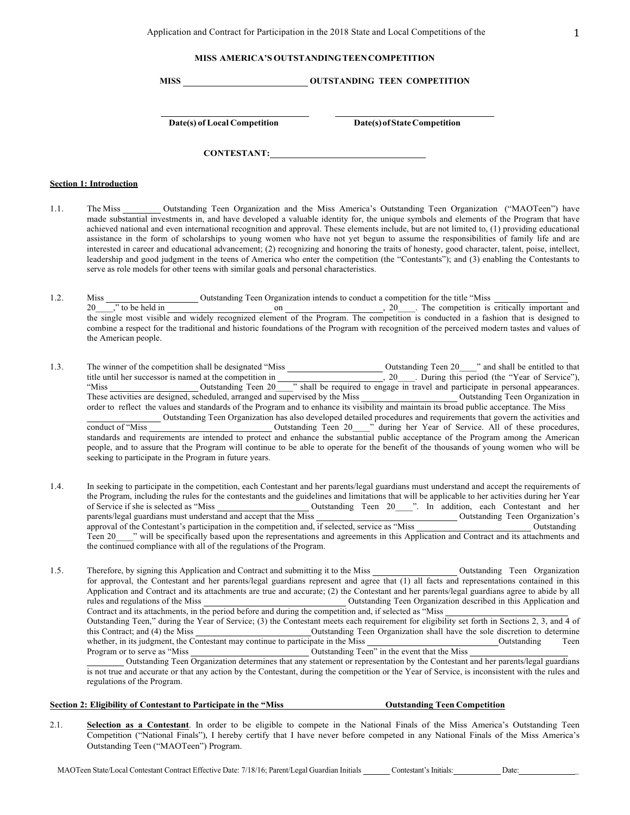# **MISS AMERICA'S OUTSTANDING TEEN COMPETITION**

**MISS OUTSTANDING TEEN COMPETITION**

**Date(s)** of Local Competition **Date(s)** of State Competition

**CONTESTANT:**

#### **Section 1: Introduction**

- 1.1. The Miss Outstanding Teen Organization and the Miss America's Outstanding Teen Organization ("MAOTeen") have made substantial investments in, and have developed a valuable identity for, the unique symbols and elements of the Program that have achieved national and even international recognition and approval. These elements include, but are not limited to, (1) providing educational assistance in the form of scholarships to young women who have not yet begun to assume the responsibilities of family life and are interested in career and educational advancement; (2) recognizing and honoring the traits of honesty, good character, talent, poise, intellect, leadership and good judgment in the teens of America who enter the competition (the "Contestants"); and (3) enabling the Contestants to serve as role models for other teens with similar goals and personal characteristics.
- 1.2. Miss Outstanding Teen Organization intends to conduct a competition for the title "Miss 20 with the held in on on the competition is critically important and  $\frac{1}{20}$ ,  $\frac{20}{20}$ . The competition is critically important and the single most visible and widely recognized element of the Program. The competition is conducted in a fashion that is designed to combine a respect for the traditional and historic foundations of the Program with recognition of the perceived modern tastes and values of the American people.
- 1.3. The winner of the competition shall be designated "Miss Outstanding Teen 20 \_\_\_" and shall be entitled to that title until her successor is named at the competition in , 20 \_\_\_\_. During this period (the "Year of Service"), "Miss Cutstanding Teen 20<sup>-1</sup> shall be required to engage in travel and participate in personal appearances. These activities are designed, scheduled, arranged and supervised by the Miss Outstanding Teen Organization in order to reflect the values and standards of the Program and to enhance its visibility and maintain its broad public acceptance. The Miss Outstanding Teen Organization has also developed detailed procedures and requirements that govern the activities and conduct of "Miss Outstanding Teen 20\_\_\_\_" during her Year of Service. All of these procedures, standards and requirements are intended to protect and enhance the substantial public acceptance of the Program among the American people, and to assure that the Program will continue to be able to operate for the benefit of the thousands of young women who will be seeking to participate in the Program in future years.
- 1.4. In seeking to participate in the competition, each Contestant and her parents/legal guardians must understand and accept the requirements of the Program, including the rules for the contestants and the guidelines and limitations that will be applicable to her activities during her Year of Service if she is selected as "Miss Outstanding Teen 20\_\_\_\_". In addition, each Contestant and her parents/legal guardians must understand and accept that the Miss **Confidence** Outstanding Teen Organization's approval of the Contestant's participation in the competition and, if selected, service as "Miss Outstanding Teen 20\_\_\_\_" will be specifically based upon the representations and agreements in this Application and Contract and its attachments and the continued compliance with all of the regulations of the Program.

1.5. Therefore, by signing this Application and Contract and submitting it to the Miss Outstanding Teen Organization for approval, the Contestant and her parents/legal guardians represent and agree that (1) all facts and representations contained in this Application and Contract and its attachments are true and accurate; (2) the Contestant and her parents/legal guardians agree to abide by all rules and regulations of the Miss **Outstanding Teen Organization described in this Application and** Contract and its attachments, in the period before and during the competition and, if selected as "Miss Outstanding Teen," during the Year of Service; (3) the Contestant meets each requirement for eligibility set forth in Sections 2, 3, and 4 of this Contract; and (4) the Miss Outstanding Teen Organization shall have the sole discretion to determine whether, in its judgment, the Contestant may continue to participate in the Miss Coutstanding Teen Program or to serve as "Miss Outstanding Teen" in the event that the Miss Outstanding Teen Organization determines that any statement or representation by the Contestant and her parents/legal guardians

is not true and accurate or that any action by the Contestant, during the competition or the Year of Service, is inconsistent with the rules and regulations of the Program.

**Section 2: Eligibility of Contestant to Participate in the "Miss Outstanding Teen Competition**

2.1. **Selection as a Contestant**. In order to be eligible to compete in the National Finals of the Miss America's Outstanding Teen Competition ("National Finals"), I hereby certify that I have never before competed in any National Finals of the Miss America's Outstanding Teen ("MAOTeen") Program.

MAOTeen State/Local Contestant Contract Effective Date: 7/18/16; Parent/Legal Guardian Initials Contestant's Initials: Date: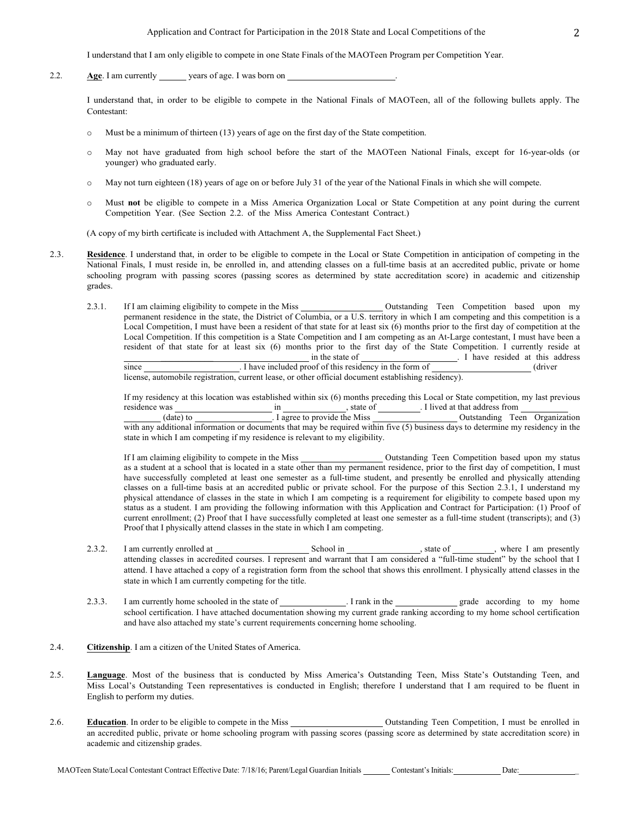I understand that I am only eligible to compete in one State Finals of the MAOTeen Program per Competition Year.

2.2. **Age**. I am currently years of age. I was born on .

I understand that, in order to be eligible to compete in the National Finals of MAOTeen, all of the following bullets apply. The Contestant:

- o Must be a minimum of thirteen (13) years of age on the first day of the State competition.
- o May not have graduated from high school before the start of the MAOTeen National Finals, except for 16-year-olds (or younger) who graduated early.
- o May not turn eighteen (18) years of age on or before July 31 of the year of the National Finals in which she will compete.
- o Must **not** be eligible to compete in a Miss America Organization Local or State Competition at any point during the current Competition Year. (See Section 2.2. of the Miss America Contestant Contract.)

(A copy of my birth certificate is included with Attachment A, the Supplemental Fact Sheet.)

- 2.3. **Residence**. I understand that, in order to be eligible to compete in the Local or State Competition in anticipation of competing in the National Finals, I must reside in, be enrolled in, and attending classes on a full-time basis at an accredited public, private or home schooling program with passing scores (passing scores as determined by state accreditation score) in academic and citizenship grades.
	- 2.3.1. If I am claiming eligibility to compete in the Miss Outstanding Teen Competition based upon my permanent residence in the state, the District of Columbia, or a U.S. territory in which I am competing and this competition is a Local Competition, I must have been a resident of that state for at least six (6) months prior to the first day of competition at the Local Competition. If this competition is a State Competition and I am competing as an At-Large contestant, I must have been a resident of that state for at least six (6) months prior to the first day of the State Competition. I currently reside at \_\_\_\_\_\_\_\_\_\_\_\_ in the state of . I have resided at this address since . I have included proof of this residency in the form of (driver)

license, automobile registration, current lease, or other official document establishing residency).

If my residency at this location was established within six (6) months preceding this Local or State competition, my last previous residence was in  $\frac{1}{2}$  in  $\frac{1}{2}$ , state of  $\frac{1}{2}$ . I lived at that address from

(date) to . I agree to provide the Miss Outstanding Teen Organization with any additional information or documents that may be required within five (5) business days to determine my residency in the state in which I am competing if my residence is relevant to my eligibility.

If I am claiming eligibility to compete in the Miss Outstanding Teen Competition based upon my status as a student at a school that is located in a state other than my permanent residence, prior to the first day of competition, I must have successfully completed at least one semester as a full-time student, and presently be enrolled and physically attending classes on a full-time basis at an accredited public or private school. For the purpose of this Section 2.3.1, I understand my physical attendance of classes in the state in which I am competing is a requirement for eligibility to compete based upon my status as a student. I am providing the following information with this Application and Contract for Participation: (1) Proof of current enrollment; (2) Proof that I have successfully completed at least one semester as a full-time student (transcripts); and (3) Proof that I physically attend classes in the state in which I am competing.

- 2.3.2. I am currently enrolled at School in state of , where I am presently attending classes in accredited courses. I represent and warrant that I am considered a "full-time student" by the school that I attend. I have attached a copy of a registration form from the school that shows this enrollment. I physically attend classes in the state in which I am currently competing for the title.
- 2.3.3. I am currently home schooled in the state of . I rank in the grade according to my home school certification. I have attached documentation showing my current grade ranking according to my home school certification and have also attached my state's current requirements concerning home schooling.
- 2.4. **Citizenship**. I am a citizen of the United States of America.
- 2.5. **Language**. Most of the business that is conducted by Miss America's Outstanding Teen, Miss State's Outstanding Teen, and Miss Local's Outstanding Teen representatives is conducted in English; therefore I understand that I am required to be fluent in English to perform my duties.
- 2.6. **Education**. In order to be eligible to compete in the Miss Outstanding Teen Competition, I must be enrolled in an accredited public, private or home schooling program with passing scores (passing score as determined by state accreditation score) in academic and citizenship grades.

MAOTeen State/Local Contestant Contract Effective Date: 7/18/16; Parent/Legal Guardian Initials Contestant's Initials: Date: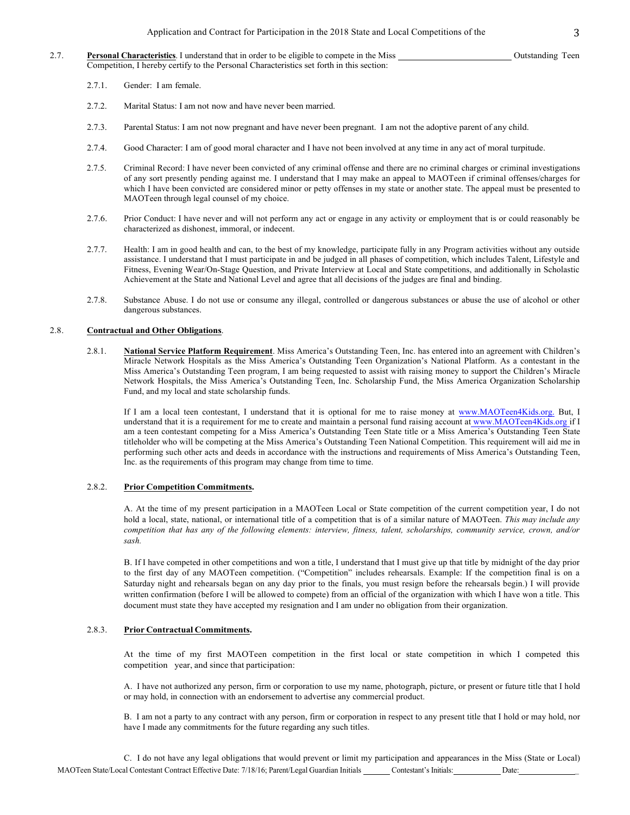- 2.7. **Personal Characteristics**. I understand that in order to be eligible to compete in the Miss Outstanding Teen Competition, I hereby certify to the Personal Characteristics set forth in this section:
	- 2.7.1. Gender: I am female.
	- 2.7.2. Marital Status: I am not now and have never been married.
	- 2.7.3. Parental Status: I am not now pregnant and have never been pregnant. I am not the adoptive parent of any child.
	- 2.7.4. Good Character: I am of good moral character and I have not been involved at any time in any act of moral turpitude.
	- 2.7.5. Criminal Record: I have never been convicted of any criminal offense and there are no criminal charges or criminal investigations of any sort presently pending against me. I understand that I may make an appeal to MAOTeen if criminal offenses/charges for which I have been convicted are considered minor or petty offenses in my state or another state. The appeal must be presented to MAOTeen through legal counsel of my choice.
	- 2.7.6. Prior Conduct: I have never and will not perform any act or engage in any activity or employment that is or could reasonably be characterized as dishonest, immoral, or indecent.
	- 2.7.7. Health: I am in good health and can, to the best of my knowledge, participate fully in any Program activities without any outside assistance. I understand that I must participate in and be judged in all phases of competition, which includes Talent, Lifestyle and Fitness, Evening Wear/On-Stage Question, and Private Interview at Local and State competitions, and additionally in Scholastic Achievement at the State and National Level and agree that all decisions of the judges are final and binding.
	- 2.7.8. Substance Abuse. I do not use or consume any illegal, controlled or dangerous substances or abuse the use of alcohol or other dangerous substances.

### 2.8. **Contractual and Other Obligations**.

2.8.1. **National Service Platform Requirement**. Miss America's Outstanding Teen, Inc. has entered into an agreement with Children's Miracle Network Hospitals as the Miss America's Outstanding Teen Organization's National Platform. As a contestant in the Miss America's Outstanding Teen program, I am being requested to assist with raising money to support the Children's Miracle Network Hospitals, the Miss America's Outstanding Teen, Inc. Scholarship Fund, the Miss America Organization Scholarship Fund, and my local and state scholarship funds.

If I am a local teen contestant, I understand that it is optional for me to raise money at www.MAOTeen4Kids.org. But, I understand that it is a requirement for me to create and maintain a personal fund raising account at www.MAOTeen4Kids.org if I am a teen contestant competing for a Miss America's Outstanding Teen State title or a Miss America's Outstanding Teen State titleholder who will be competing at the Miss America's Outstanding Teen National Competition. This requirement will aid me in performing such other acts and deeds in accordance with the instructions and requirements of Miss America's Outstanding Teen, Inc. as the requirements of this program may change from time to time.

## 2.8.2. **Prior Competition Commitments.**

A. At the time of my present participation in a MAOTeen Local or State competition of the current competition year, I do not hold a local, state, national, or international title of a competition that is of a similar nature of MAOTeen. *This may include any competition that has any of the following elements: interview, fitness, talent, scholarships, community service, crown, and/or sash.*

B. If I have competed in other competitions and won a title, I understand that I must give up that title by midnight of the day prior to the first day of any MAOTeen competition. ("Competition" includes rehearsals. Example: If the competition final is on a Saturday night and rehearsals began on any day prior to the finals, you must resign before the rehearsals begin.) I will provide written confirmation (before I will be allowed to compete) from an official of the organization with which I have won a title. This document must state they have accepted my resignation and I am under no obligation from their organization.

### 2.8.3. **Prior Contractual Commitments.**

At the time of my first MAOTeen competition in the first local or state competition in which I competed this competition year, and since that participation:

A. I have not authorized any person, firm or corporation to use my name, photograph, picture, or present or future title that I hold or may hold, in connection with an endorsement to advertise any commercial product.

B. I am not a party to any contract with any person, firm or corporation in respect to any present title that I hold or may hold, nor have I made any commitments for the future regarding any such titles.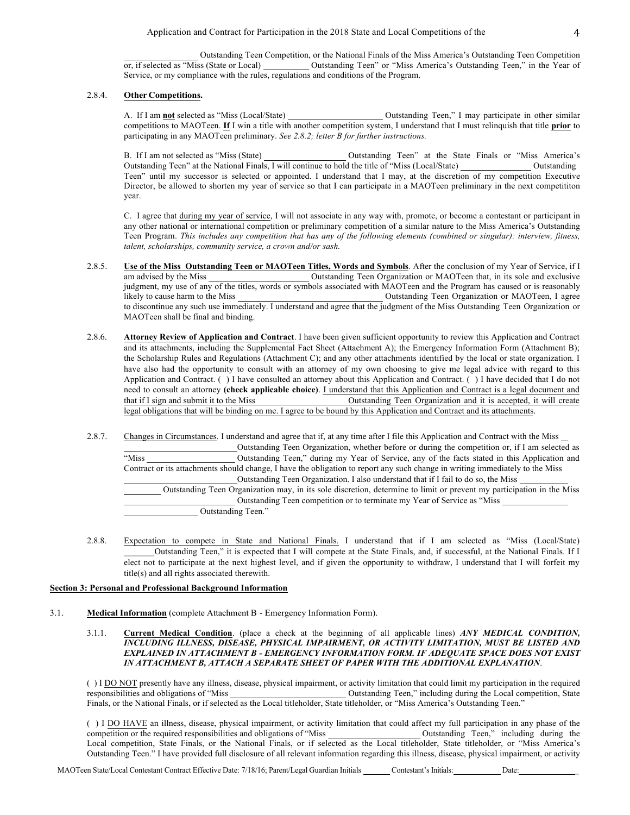Outstanding Teen Competition, or the National Finals of the Miss America's Outstanding Teen Competition or, if selected as "Miss (State or Local) Outstanding Teen" or "Miss America's Outstanding Teen," in the Year of Service, or my compliance with the rules, regulations and conditions of the Program.

## 2.8.4. **Other Competitions.**

A. If I am **not** selected as "Miss (Local/State) Outstanding Teen," I may participate in other similar competitions to MAOTeen. **If** I win a title with another competition system, I understand that I must relinquish that title **prior** to participating in any MAOTeen preliminary. *See 2.8.2; letter B for further instructions.*

B. If I am not selected as "Miss (State) Outstanding Teen" at the State Finals or "Miss America's Outstanding Teen" at the National Finals, I will continue to hold the title of "Miss (Local/State) Outstanding Teen" until my successor is selected or appointed. I understand that I may, at the discretion of my competition Executive Director, be allowed to shorten my year of service so that I can participate in a MAOTeen preliminary in the next competititon year.

C. I agree that during my year of service, I will not associate in any way with, promote, or become a contestant or participant in any other national or international competition or preliminary competition of a similar nature to the Miss America's Outstanding Teen Program. *This includes any competition that has any of the following elements (combined or singular): interview, fitness, talent, scholarships, community service, a crown and/or sash.*

- 2.8.5. **Use of the Miss Outstanding Teen or MAOTeen Titles, Words and Symbols**. After the conclusion of my Year of Service, if I am advised by the Miss Outstanding Teen Organization or MAOTeen that, in its sole and exclusive judgment, my use of any of the titles, words or symbols associated with MAOTeen and the Program has caused or is reasonably likely to cause harm to the Miss Outstanding Teen Organization or MAOTeen, I agree to discontinue any such use immediately. I understand and agree that the judgment of the Miss Outstanding Teen Organization or MAOTeen shall be final and binding.
- 2.8.6. **Attorney Review of Application and Contract**. I have been given sufficient opportunity to review this Application and Contract and its attachments, including the Supplemental Fact Sheet (Attachment A); the Emergency Information Form (Attachment B); the Scholarship Rules and Regulations (Attachment C); and any other attachments identified by the local or state organization. I have also had the opportunity to consult with an attorney of my own choosing to give me legal advice with regard to this Application and Contract. ( ) I have consulted an attorney about this Application and Contract. ( ) I have decided that I do not need to consult an attorney **(check applicable choice)**. I understand that this Application and Contract is a legal document and that if I sign and submit it to the Miss Outstanding Teen Organization and it is accepted, it will create legal obligations that will be binding on me. I agree to be bound by this Application and Contract and its attachments.
- 2.8.7. Changes in Circumstances. I understand and agree that if, at any time after I file this Application and Contract with the Miss Outstanding Teen Organization, whether before or during the competition or, if I am selected as "Miss Outstanding Teen," during my Year of Service, any of the facts stated in this Application and Contract or its attachments should change, I have the obligation to report any such change in writing immediately to the Miss Outstanding Teen Organization. I also understand that if I fail to do so, the Miss Outstanding Teen Organization may, in its sole discretion, determine to limit or prevent my participation in the Miss Outstanding Teen competition or to terminate my Year of Service as "Miss Outstanding Teen."
- 2.8.8. Expectation to compete in State and National Finals. I understand that if I am selected as "Miss (Local/State) \_\_\_\_\_\_\_Outstanding Teen," it is expected that I will compete at the State Finals, and, if successful, at the National Finals. If I elect not to participate at the next highest level, and if given the opportunity to withdraw, I understand that I will forfeit my title(s) and all rights associated therewith.

## **Section 3: Personal and Professional Background Information**

- 3.1. **Medical Information** (complete Attachment B Emergency Information Form).
	- 3.1.1. **Current Medical Condition**. (place a check at the beginning of all applicable lines) *ANY MEDICAL CONDITION, INCLUDING ILLNESS, DISEASE, PHYSICAL IMPAIRMENT, OR ACTIVITY LIMITATION, MUST BE LISTED AND EXPLAINED IN ATTACHMENT B - EMERGENCY INFORMATION FORM. IF ADEQUATE SPACE DOES NOT EXIST IN ATTACHMENT B, ATTACH A SEPARATE SHEET OF PAPER WITH THE ADDITIONAL EXPLANATION*.

() I <u>DO NOT</u> presently have any illness, disease, physical impairment, or activity limitation that could limit my participation in the required responsibilities and obligations of "Miss" Outstanding Teen," including durin Outstanding Teen," including during the Local competition, State Finals, or the National Finals, or if selected as the Local titleholder, State titleholder, or "Miss America's Outstanding Teen."

( ) I DO HAVE an illness, disease, physical impairment, or activity limitation that could affect my full participation in any phase of the competition or the required responsibilities and obligations of "Miss Cutstanding Teen," including during the Local competition, State Finals, or the National Finals, or if selected as the Local titleholder, State titleholder, or "Miss America's Outstanding Teen." I have provided full disclosure of all relevant information regarding this illness, disease, physical impairment, or activity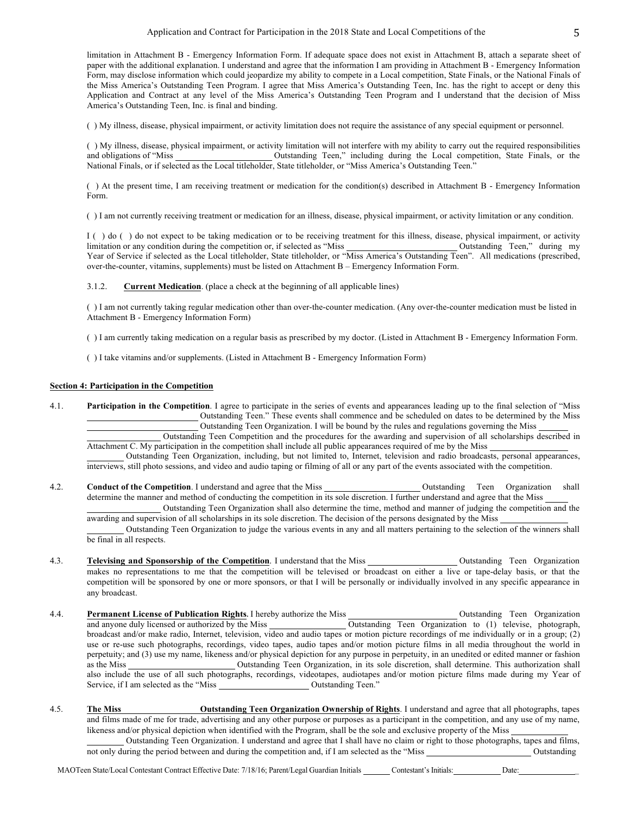limitation in Attachment B - Emergency Information Form. If adequate space does not exist in Attachment B, attach a separate sheet of paper with the additional explanation. I understand and agree that the information I am providing in Attachment B - Emergency Information Form, may disclose information which could jeopardize my ability to compete in a Local competition, State Finals, or the National Finals of the Miss America's Outstanding Teen Program. I agree that Miss America's Outstanding Teen, Inc. has the right to accept or deny this Application and Contract at any level of the Miss America's Outstanding Teen Program and I understand that the decision of Miss America's Outstanding Teen, Inc. is final and binding.

( ) My illness, disease, physical impairment, or activity limitation does not require the assistance of any special equipment or personnel.

( ) My illness, disease, physical impairment, or activity limitation will not interfere with my ability to carry out the required responsibilities and obligations of "Miss Outstanding Teen," including during the Local competition, State Finals, or the National Finals, or if selected as the Local titleholder, State titleholder, or "Miss America's Outstanding Teen."

( ) At the present time, I am receiving treatment or medication for the condition(s) described in Attachment B - Emergency Information Form.

( ) I am not currently receiving treatment or medication for an illness, disease, physical impairment, or activity limitation or any condition.

I ( ) do ( ) do not expect to be taking medication or to be receiving treatment for this illness, disease, physical impairment, or activity limitation or any condition during the competition or, if selected as "Miss Outstanding Teen," during my Year of Service if selected as the Local titleholder, State titleholder, or "Miss America's Outstanding Teen". All medications (prescribed, over-the-counter, vitamins, supplements) must be listed on Attachment B – Emergency Information Form.

3.1.2. **Current Medication**. (place a check at the beginning of all applicable lines)

( ) I am not currently taking regular medication other than over-the-counter medication. (Any over-the-counter medication must be listed in Attachment B - Emergency Information Form)

( ) I am currently taking medication on a regular basis as prescribed by my doctor. (Listed in Attachment B - Emergency Information Form.

( ) I take vitamins and/or supplements. (Listed in Attachment B - Emergency Information Form)

## **Section 4: Participation in the Competition**

4.1. **Participation in the Competition**. I agree to participate in the series of events and appearances leading up to the final selection of "Miss Outstanding Teen." These events shall commence and be scheduled on dates to be determined by the Miss Outstanding Teen Organization. I will be bound by the rules and regulations governing the Miss

Outstanding Teen Competition and the procedures for the awarding and supervision of all scholarships described in Attachment C. My participation in the competition shall include all public appearances required of me by the Miss

Outstanding Teen Organization, including, but not limited to, Internet, television and radio broadcasts, personal appearances, interviews, still photo sessions, and video and audio taping or filming of all or any part of the events associated with the competition.

4.2. **Conduct of the Competition**. I understand and agree that the Miss **Outstanding Teen** Organization shall determine the manner and method of conducting the competition in its sole discretion. I further understand and agree that the Miss Outstanding Teen Organization shall also determine the time, method and manner of judging the competition and the

awarding and supervision of all scholarships in its sole discretion. The decision of the persons designated by the Miss

Outstanding Teen Organization to judge the various events in any and all matters pertaining to the selection of the winners shall be final in all respects.

- 4.3. **Televising and Sponsorship of the Competition**. I understand that the Miss Outstanding Teen Organization makes no representations to me that the competition will be televised or broadcast on either a live or tape-delay basis, or that the competition will be sponsored by one or more sponsors, or that I will be personally or individually involved in any specific appearance in any broadcast.
- 4.4. **Permanent License of Publication Rights**. I hereby authorize the Miss Outstanding Teen Organization and anyone duly licensed or authorized by the Miss Outstanding Teen Organization to (1) televise, photograph, broadcast and/or make radio, Internet, television, video and audio tapes or motion picture recordings of me individually or in a group; (2) use or re-use such photographs, recordings, video tapes, audio tapes and/or motion picture films in all media throughout the world in perpetuity; and (3) use my name, likeness and/or physical depiction for any purpose in perpetuity, in an unedited or edited manner or fashion as the Miss Coutstanding Teen Organization, in its sole discretion, shall determine. This authorization shall also include the use of all such photographs, recordings, videotapes, audiotapes and/or motion picture films made during my Year of Service, if I am selected as the "Miss Outstanding Teen."
- 4.5. **The Miss Outstanding Teen Organization Ownership of Rights**. I understand and agree that all photographs, tapes and films made of me for trade, advertising and any other purpose or purposes as a participant in the competition, and any use of my name, likeness and/or physical depiction when identified with the Program, shall be the sole and exclusive property of the Miss Outstanding Teen Organization. I understand and agree that I shall have no claim or right to those photographs, tapes and films,

not only during the period between and during the competition and, if I am selected as the "Miss Outstanding Outstanding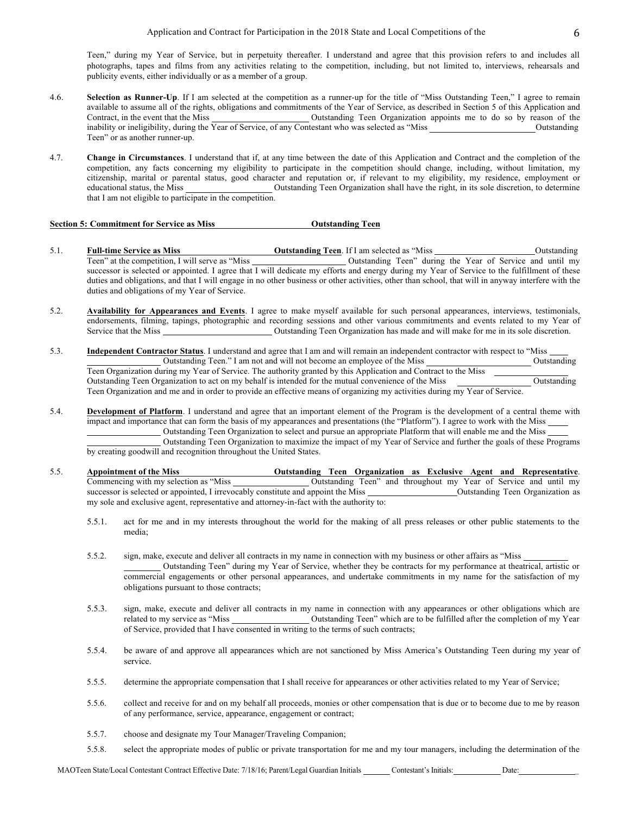Teen," during my Year of Service, but in perpetuity thereafter. I understand and agree that this provision refers to and includes all photographs, tapes and films from any activities relating to the competition, including, but not limited to, interviews, rehearsals and publicity events, either individually or as a member of a group.

- 4.6. **Selection as Runner-Up**. If I am selected at the competition as a runner-up for the title of "Miss Outstanding Teen," I agree to remain available to assume all of the rights, obligations and commitments of the Year of Service, as described in Section 5 of this Application and Contract, in the event that the Miss **Outstanding Teen Organization** appoints me to do so by reason of the inability or ineligibility, during the Year of Service, of any Contestant who was selected as "Miss Outstanding" Outstanding Teen" or as another runner-up.
- 4.7. **Change in Circumstances**. I understand that if, at any time between the date of this Application and Contract and the completion of the competition, any facts concerning my eligibility to participate in the competition should change, including, without limitation, my citizenship, marital or parental status, good character and reputation or, if relevant to my eligibility, my residence, employment or educational status, the Miss Outstanding Teen Organization shall have the right, in its sole discretion, to determine that I am not eligible to participate in the competition.

## **Section 5: Commitment for Service as Miss Outstanding Teen**

- 5.1. **Full-time Service as Miss Outstanding Teen**. If I am selected as "Miss **Outstanding Teen**" at the competition, I will serve as "Miss **Outstanding Teen**" during the Year of Service and until my Outstanding Teen" during the Year of Service and until my successor is selected or appointed. I agree that I will dedicate my efforts and energy during my Year of Service to the fulfillment of these duties and obligations, and that I will engage in no other business or other activities, other than school, that will in anyway interfere with the duties and obligations of my Year of Service.
- 5.2. **Availability for Appearances and Events**. I agree to make myself available for such personal appearances, interviews, testimonials, endorsements, filming, tapings, photographic and recording sessions and other various commitments and events related to my Year of Service that the Miss Outstanding Teen Organization has made and will make for me in its sole discretion.
- 5.3. **Independent Contractor Status**. I understand and agree that I am and will remain an independent contractor with respect to "Miss Outstanding Teen." I am not and will not become an employee of the Miss Outstanding Teen Organization during my Year of Service. The authority granted by this Application and Contract to the Miss Outstanding Teen Organization to act on my behalf is intended for the mutual convenience of the Miss Outstanding Teen Organization and me and in order to provide an effective means of organizing my activities during my Year of Service.
- 5.4. **Development of Platform**. I understand and agree that an important element of the Program is the development of a central theme with impact and importance that can form the basis of my appearances and presentations (the "Platform"). I agree to work with the Miss Outstanding Teen Organization to select and pursue an appropriate Platform that will enable me and the Miss

Outstanding Teen Organization to maximize the impact of my Year of Service and further the goals of these Programs by creating goodwill and recognition throughout the United States.

- 5.5. **Appointment of the Miss Commencing with my selection as "Miss Outstanding Teen Organization as Exclusive Agent and Representative**.<br>Commencing with my selection as "Miss **Outstanding Teen**" and throughout my Year Outstanding Teen" and throughout my Year of Service and until my successor is selected or appointed, I irrevocably constitute and appoint the Miss Outstanding Teen Organization as my sole and exclusive agent, representative and attorney-in-fact with the authority to:
	- 5.5.1. act for me and in my interests throughout the world for the making of all press releases or other public statements to the media;
	- 5.5.2. sign, make, execute and deliver all contracts in my name in connection with my business or other affairs as "Miss Outstanding Teen" during my Year of Service, whether they be contracts for my performance at theatrical, artistic or commercial engagements or other personal appearances, and undertake commitments in my name for the satisfaction of my obligations pursuant to those contracts;
	- 5.5.3. sign, make, execute and deliver all contracts in my name in connection with any appearances or other obligations which are related to my service as "Miss Outstanding Teen" which are to be fulfilled after the completion of my Year of Service, provided that I have consented in writing to the terms of such contracts;
	- 5.5.4. be aware of and approve all appearances which are not sanctioned by Miss America's Outstanding Teen during my year of service.
	- 5.5.5. determine the appropriate compensation that I shall receive for appearances or other activities related to my Year of Service;
	- 5.5.6. collect and receive for and on my behalf all proceeds, monies or other compensation that is due or to become due to me by reason of any performance, service, appearance, engagement or contract;
	- 5.5.7. choose and designate my Tour Manager/Traveling Companion;
	- 5.5.8. select the appropriate modes of public or private transportation for me and my tour managers, including the determination of the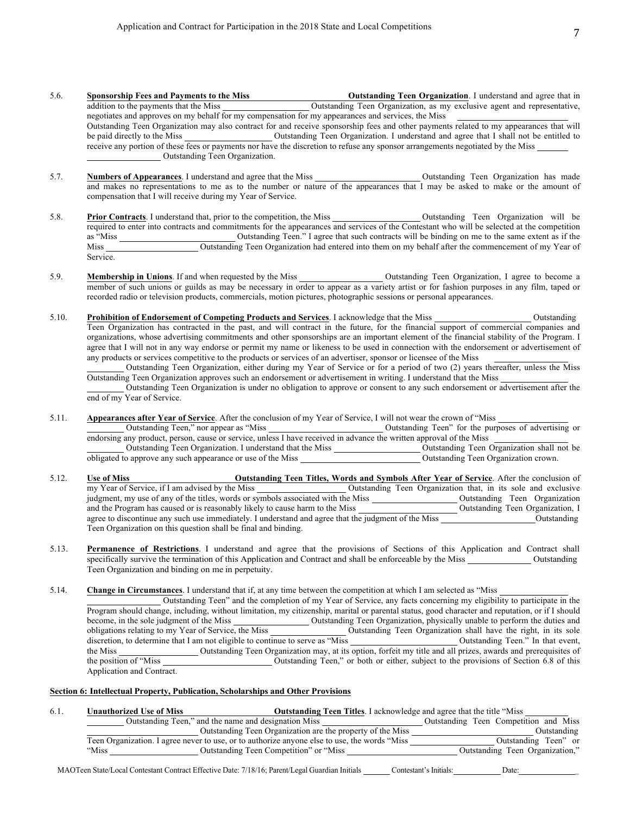- 5.6. **Sponsorship Fees and Payments to the Miss Outstanding Teen Organization**. I understand and agree that in addition to the payments that the Miss **Outstanding Teen Organization**, as my exclusive agent and representat Quistanding Teen Organization, as my exclusive agent and representative, negotiates and approves on my behalf for my compensation for my appearances and services, the Miss Outstanding Teen Organization may also contract for and receive sponsorship fees and other payments related to my appearances that will be paid directly to the Miss Outstanding Teen Organization. I understand and agree that I shall not be entitled to receive any portion of these fees or payments nor have the discretion to refuse any sponsor arrangements negotiated by the Miss Outstanding Teen Organization.
- 5.7. **Numbers of Appearances**. I understand and agree that the Miss Outstanding Teen Organization has made and makes no representations to me as to the number or nature of the appearances that I may be asked to make or the amount of compensation that I will receive during my Year of Service.
- 5.8. **Prior Contracts**. I understand that, prior to the competition, the Miss Outstanding Teen Organization will be required to enter into contracts and commitments for the appearances and services of the Contestant who will be selected at the competition as "Miss Coutstanding Teen." I agree that such contracts will be binding on me to the same extent as if the Miss Outstanding Teen Organization had entered into them on my behalf after the commencement of my Year of Service.
- 5.9. **Membership in Unions**. If and when requested by the Miss Outstanding Teen Organization, I agree to become a member of such unions or guilds as may be necessary in order to appear as a variety artist or for fashion purposes in any film, taped or recorded radio or television products, commercials, motion pictures, photographic sessions or personal appearances.
- 5.10. **Prohibition of Endorsement of Competing Products and Services**. I acknowledge that the Miss Outstanding Outstanding Teen Organization has contracted in the past, and will contract in the future, for the financial support of commercial companies and organizations, whose advertising commitments and other sponsorships are an important element of the financial stability of the Program. I agree that I will not in any way endorse or permit my name or likeness to be used in connection with the endorsement or advertisement of any products or services competitive to the products or services of an advertiser, sponsor or licensee of the Miss

Outstanding Teen Organization, either during my Year of Service or for a period of two (2) years thereafter, unless the Miss Outstanding Teen Organization approves such an endorsement or advertisement in writing. I understand that the Miss

Outstanding Teen Organization is under no obligation to approve or consent to any such endorsement or advertisement after the end of my Year of Service.

5.11. **Appearances after Year of Service**. After the conclusion of my Year of Service, I will not wear the crown of "Miss

Outstanding Teen," nor appear as "Miss Outstanding Teen" for the purposes of advertising or endorsing any product, person, cause or service, unless I have received in advance the written approval of the Miss

Outstanding Teen Organization. I understand that the Miss Outstanding Teen Organization shall not be obligated to approve any such appearance or use of the Miss Outstanding Teen Organization crown.

- 5.12. **Use of Miss Outstanding Teen Titles, Words and Symbols After Year of Service**. After the conclusion of my Year of Service, if I am advised by the Miss **Outstanding Teen Organization** that, in its sole and exclusiv Outstanding Teen Organization that, in its sole and exclusive judgment, my use of any of the titles, words or symbols associated with the Miss Outstanding Teen Organization and the Program has caused or is reasonably likely to cause harm to the Miss **Outstanding Teen Organization**, I agree to discontinue any such use immediately. I understand and agree that the judgment of the Miss Outstanding Teen Organization on this question shall be final and binding.
- 5.13. **Permanence of Restrictions**. I understand and agree that the provisions of Sections of this Application and Contract shall specifically survive the termination of this Application and Contract and shall be enforceable by the Miss Outstanding Teen Organization and binding on me in perpetuity.

5.14. **Change in Circumstances**. I understand that if, at any time between the competition at which I am selected as "Miss

Outstanding Teen" and the completion of my Year of Service, any facts concerning my eligibility to participate in the Program should change, including, without limitation, my citizenship, marital or parental status, good character and reputation, or if I should become, in the sole judgment of the Miss Outstanding Teen Organization, physically unable to perform the duties and obligations relating to my Year of Service, the Miss Outstanding Teen Organization shall have the right, in its sole discretion, to determine that I am not eligible to continue to serve as "Miss Outstanding Teen." In that event, the Miss<br>
Outstanding Teen Organization may, at its option, forfeit my title and all prizes, awards and prerequisites of<br>
Outstanding Teen," or both or either, subject to the provisions of Section 6.8 of this Outstanding Teen," or both or either, subject to the provisions of Section 6.8 of this Application and Contract.

### **Section 6: Intellectual Property, Publication, Scholarships and Other Provisions**

| 6.1. | Unauthorized Use of Miss | <b>Outstanding Teen Titles.</b> I acknowledge and agree that the title "Miss"                 |                                       |
|------|--------------------------|-----------------------------------------------------------------------------------------------|---------------------------------------|
|      |                          | Outstanding Teen," and the name and designation Miss                                          | Outstanding Teen Competition and Miss |
|      |                          | Outstanding Teen Organization are the property of the Miss                                    | Outstanding                           |
|      |                          | Teen Organization. I agree never to use, or to authorize anyone else to use, the words "Miss" | Outstanding Teen" or                  |
|      | "Miss                    | Outstanding Teen Competition" or "Miss"                                                       | Outstanding Teen Organization,"       |

MAOTeen State/Local Contestant Contract Effective Date: 7/18/16; Parent/Legal Guardian Initials Contestant's Initials: Date: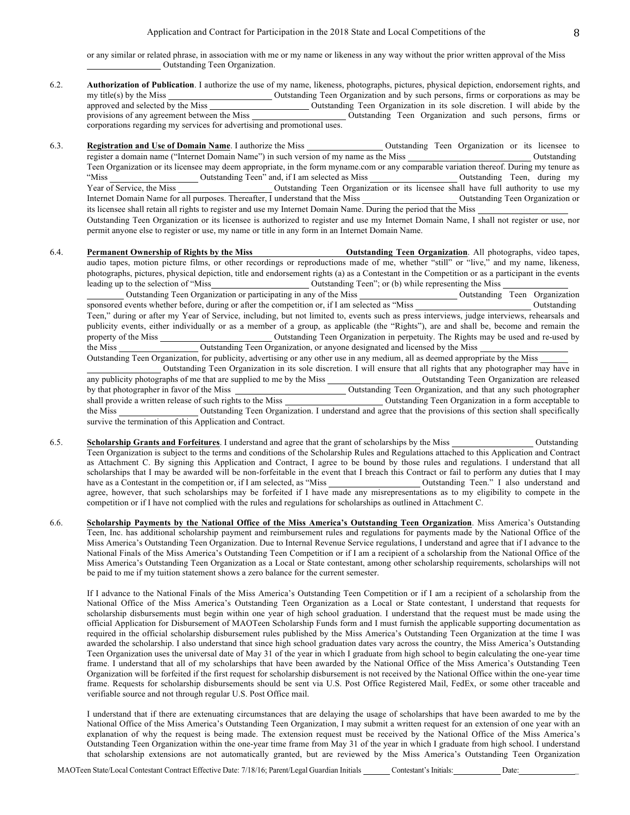or any similar or related phrase, in association with me or my name or likeness in any way without the prior written approval of the Miss Outstanding Teen Organization.

- 6.2. **Authorization of Publication**. I authorize the use of my name, likeness, photographs, pictures, physical depiction, endorsement rights, and my title(s) by the Miss Outstanding Teen Organization and by such persons, firms or corporations as may be approved and selected by the Miss Outstanding Teen Organization in its sole discretion. I will abide by the provisions of any agreement between the Miss Outstanding Teen Organization and such persons, firms or corporations regarding my services for advertising and promotional uses.
- 6.3. **Registration and Use of Domain Name**. I authorize the Miss Outstanding Teen Organization or its licensee to register a domain name ("Internet Domain Name") in such version of my name as the Miss Outstanding Teen Organization or its licensee may deem appropriate, in the form myname.com or any comparable variation thereof. During my tenure as "Miss Outstanding Teen" and, if I am selected as Miss Outstanding Teen, during my Year of Service, the Miss Cutstanding Teen Organization or its licensee shall have full authority to use my Internet Domain Name for all purposes. Thereafter, I understand that the Miss Outstanding Teen Organization or its licensee shall retain all rights to register and use my Internet Domain Name. During the period that the Miss Outstanding Teen Organization or its licensee is authorized to register and use my Internet Domain Name, I shall not register or use, nor permit anyone else to register or use, my name or title in any form in an Internet Domain Name.
- 6.4. **Permanent Ownership of Rights by the Miss Outstanding Teen Organization**. All photographs, video tapes, audio tapes, motion picture films, or other recordings or reproductions made of me, whether "still" or "live," and my name, likeness, photographs, pictures, physical depiction, title and endorsement rights (a) as a Contestant in the Competition or as a participant in the events leading up to the selection of "Miss<br>
Outstanding Teen Organization or participating in any of the Miss<br>
Outstanding Teen Organization<br>
Outstanding Teen Organization Outstanding Teen Organization or participating in any of the Miss

sponsored events whether before, during or after the competition or, if I am selected as "Miss Outstanding Teen," during or after my Year of Service, including, but not limited to, events such as press interviews, judge interviews, rehearsals and publicity events, either individually or as a member of a group, as applicable (the "Rights"), are and shall be, become and remain the property of the Miss Outstanding Teen Organization in perpetuity. The Rights may be used and re-used by the Miss Outstanding Teen Organization, or anyone designated and licensed by the Miss

Outstanding Teen Organization, for publicity, advertising or any other use in any medium, all as deemed appropriate by the Miss Outstanding Teen Organization in its sole discretion. I will ensure that all rights that any photographer may have in any publicity photographs of me that are supplied to me by the Miss Outstanding Teen Organization are released by that photographer in favor of the Miss Outstanding Teen Organization, and that any such photographer shall provide a written release of such rights to the Miss Outstanding Teen Organization in a form acceptable to the Miss Outstanding Teen Organization. I understand and agree that the provisions of this section shall specifically survive the termination of this Application and Contract.

- 6.5. **Scholarship Grants and Forfeitures**. I understand and agree that the grant of scholarships by the Miss Outstanding Teen Organization is subject to the terms and conditions of the Scholarship Rules and Regulations attached to this Application and Contract as Attachment C. By signing this Application and Contract, I agree to be bound by those rules and regulations. I understand that all scholarships that I may be awarded will be non-forfeitable in the event that I breach this Contract or fail to perform any duties that I may have as a Contestant in the competition or, if I am selected, as "Miss "Outstanding Teen." I also understand and agree, however, that such scholarships may be forfeited if I have made any misrepresentations as to my eligibility to compete in the competition or if I have not complied with the rules and regulations for scholarships as outlined in Attachment C.
- 6.6. **Scholarship Payments by the National Office of the Miss America's Outstanding Teen Organization**. Miss America's Outstanding Teen, Inc. has additional scholarship payment and reimbursement rules and regulations for payments made by the National Office of the Miss America's Outstanding Teen Organization. Due to Internal Revenue Service regulations, I understand and agree that if I advance to the National Finals of the Miss America's Outstanding Teen Competition or if I am a recipient of a scholarship from the National Office of the Miss America's Outstanding Teen Organization as a Local or State contestant, among other scholarship requirements, scholarships will not be paid to me if my tuition statement shows a zero balance for the current semester.

If I advance to the National Finals of the Miss America's Outstanding Teen Competition or if I am a recipient of a scholarship from the National Office of the Miss America's Outstanding Teen Organization as a Local or State contestant, I understand that requests for scholarship disbursements must begin within one year of high school graduation. I understand that the request must be made using the official Application for Disbursement of MAOTeen Scholarship Funds form and I must furnish the applicable supporting documentation as required in the official scholarship disbursement rules published by the Miss America's Outstanding Teen Organization at the time I was awarded the scholarship. I also understand that since high school graduation dates vary across the country, the Miss America's Outstanding Teen Organization uses the universal date of May 31 of the year in which I graduate from high school to begin calculating the one-year time frame. I understand that all of my scholarships that have been awarded by the National Office of the Miss America's Outstanding Teen Organization will be forfeited if the first request for scholarship disbursement is not received by the National Office within the one-year time frame. Requests for scholarship disbursements should be sent via U.S. Post Office Registered Mail, FedEx, or some other traceable and verifiable source and not through regular U.S. Post Office mail.

I understand that if there are extenuating circumstances that are delaying the usage of scholarships that have been awarded to me by the National Office of the Miss America's Outstanding Teen Organization, I may submit a written request for an extension of one year with an explanation of why the request is being made. The extension request must be received by the National Office of the Miss America's Outstanding Teen Organization within the one-year time frame from May 31 of the year in which I graduate from high school. I understand that scholarship extensions are not automatically granted, but are reviewed by the Miss America's Outstanding Teen Organization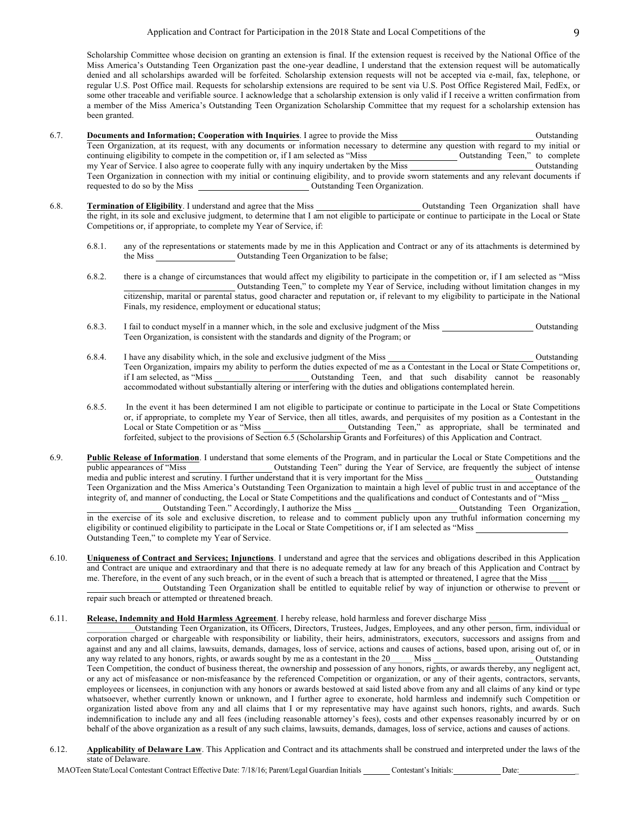Scholarship Committee whose decision on granting an extension is final. If the extension request is received by the National Office of the Miss America's Outstanding Teen Organization past the one-year deadline, I understand that the extension request will be automatically denied and all scholarships awarded will be forfeited. Scholarship extension requests will not be accepted via e-mail, fax, telephone, or regular U.S. Post Office mail. Requests for scholarship extensions are required to be sent via U.S. Post Office Registered Mail, FedEx, or some other traceable and verifiable source. I acknowledge that a scholarship extension is only valid if I receive a written confirmation from a member of the Miss America's Outstanding Teen Organization Scholarship Committee that my request for a scholarship extension has been granted.

- 6.7. **Documents and Information; Cooperation with Inquiries**. I agree to provide the Miss **Outstanding** Outstanding Teen Organization, at its request, with any documents or information necessary to determine any question with regard to my initial or continuing eligibility to compete in the competition or, if I am selected as "Miss Outstanding Teen," to complete my Year of Service. I also agree to cooperate fully with any inquiry undertaken by the Miss Outstanding Outstanding Teen Organization in connection with my initial or continuing eligibility, and to provide sworn statements and any relevant documents if Outstanding Teen Organization.
- 6.8. **Termination of Eligibility**. I understand and agree that the Miss Outstanding Teen Organization shall have the right, in its sole and exclusive judgment, to determine that I am not eligible to participate or continue to participate in the Local or State Competitions or, if appropriate, to complete my Year of Service, if:
	- 6.8.1. any of the representations or statements made by me in this Application and Contract or any of its attachments is determined by the Miss **Outstanding Teen Organization** to be false;
	- 6.8.2. there is a change of circumstances that would affect my eligibility to participate in the competition or, if I am selected as "Miss Outstanding Teen," to complete my Year of Service, including without limitation changes in my citizenship, marital or parental status, good character and reputation or, if relevant to my eligibility to participate in the National Finals, my residence, employment or educational status;
	- 6.8.3. I fail to conduct myself in a manner which, in the sole and exclusive judgment of the Miss Outstanding Teen Organization, is consistent with the standards and dignity of the Program; or
	- 6.8.4. I have any disability which, in the sole and exclusive judgment of the Miss Outstanding Teen Organization, impairs my ability to perform the duties expected of me as a Contestant in the Local or State Competitions or, if I am selected, as "Miss Outstanding Teen, and that such disability cannot be reasonably accommodated without substantially altering or interfering with the duties and obligations contemplated herein.
	- 6.8.5. In the event it has been determined I am not eligible to participate or continue to participate in the Local or State Competitions or, if appropriate, to complete my Year of Service, then all titles, awards, and perquisites of my position as a Contestant in the Local or State Competition or as "Miss Outstanding Teen," as appropriate, shall be terminated and forfeited, subject to the provisions of Section 6.5 (Scholarship Grants and Forfeitures) of this Application and Contract.
- 6.9. **Public Release of Information**. I understand that some elements of the Program, and in particular the Local or State Competitions and the **putched Teen** Teen" during the Year of Service, are frequently the subject of intense media and public interest and scrutiny. I further understand that it is very important for the Miss Outstanding Teen Organization and the Miss America's Outstanding Teen Organization to maintain a high level of public trust in and acceptance of the integrity of, and manner of conducting, the Local or State Competitions and the qualifications and conduct of Contestants and of "Miss Outstanding Teen." Accordingly, I authorize the Miss \_\_\_\_\_\_\_\_\_\_\_\_\_\_\_\_\_\_\_\_\_\_\_\_\_Outstanding Teen Organization, in the exercise of its sole and exclusive discretion, to release and to comment publicly upon any truthful information concerning my eligibility or continued eligibility to participate in the Local or State Competitions or, if I am selected as "Miss Outstanding Teen," to complete my Year of Service.
- 6.10. **Uniqueness of Contract and Services; Injunctions**. I understand and agree that the services and obligations described in this Application and Contract are unique and extraordinary and that there is no adequate remedy at law for any breach of this Application and Contract by me. Therefore, in the event of any such breach, or in the event of such a breach that is attempted or threatened, I agree that the Miss Outstanding Teen Organization shall be entitled to equitable relief by way of injunction or otherwise to prevent or

repair such breach or attempted or threatened breach.

#### 6.11. **Release, Indemnity and Hold Harmless Agreement**. I hereby release, hold harmless and forever discharge Miss

\_\_\_\_\_\_\_\_\_\_\_Outstanding Teen Organization, its Officers, Directors, Trustees, Judges, Employees, and any other person, firm, individual or corporation charged or chargeable with responsibility or liability, their heirs, administrators, executors, successors and assigns from and against and any and all claims, lawsuits, demands, damages, loss of service, actions and causes of actions, based upon, arising out of, or in any way related to any honors, rights, or awards sought by me as a contestant in any way related to any honors, rights, or awards sought by me as a contestant in the 20 Miss Outstanding Outstanding Teen Competition, the conduct of business thereat, the ownership and possession of any honors, rights, or awards thereby, any negligent act, or any act of misfeasance or non-misfeasance by the referenced Competition or organization, or any of their agents, contractors, servants, employees or licensees, in conjunction with any honors or awards bestowed at said listed above from any and all claims of any kind or type whatsoever, whether currently known or unknown, and I further agree to exonerate, hold harmless and indemnify such Competition or organization listed above from any and all claims that I or my representative may have against such honors, rights, and awards. Such indemnification to include any and all fees (including reasonable attorney's fees), costs and other expenses reasonably incurred by or on behalf of the above organization as a result of any such claims, lawsuits, demands, damages, loss of service, actions and causes of actions.

6.12. **Applicability of Delaware Law**. This Application and Contract and its attachments shall be construed and interpreted under the laws of the state of Delaware.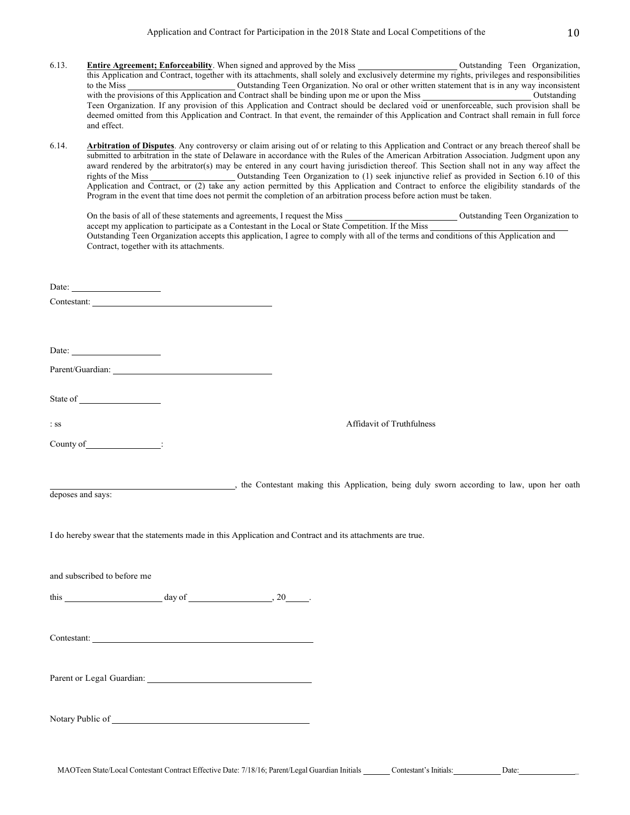- 6.13. **Entire Agreement; Enforceability**. When signed and approved by the Miss Outstanding Teen Organization, this Application and Contract, together with its attachments, shall solely and exclusively determine my rights, privileges and responsibilities to the Miss Coutstanding Teen Organization. No oral or other written statement that is in any way inconsistent with the provisions of this Application and Contract shall be binding upon me or upon the Miss Outstanding Outstanding Teen Organization. If any provision of this Application and Contract should be declared void or unenforceable, such provision shall be deemed omitted from this Application and Contract. In that event, the remainder of this Application and Contract shall remain in full force and effect.
- 6.14. **Arbitration of Disputes**. Any controversy or claim arising out of or relating to this Application and Contract or any breach thereof shall be submitted to arbitration in the state of Delaware in accordance with the Rules of the American Arbitration Association. Judgment upon any award rendered by the arbitrator(s) may be entered in any court having jurisdiction thereof. This Section shall not in any way affect the rights of the Miss Outstanding Teen Organization to (1) seek injunctive relief as provided in Section 6.10 of this Application and Contract, or (2) take any action permitted by this Application and Contract to enforce the eligibility standards of the Program in the event that time does not permit the completion of an arbitration process before action must be taken.

|                                                                                                                              | r rogram in the event that thre does not permit the completion or an arouration process before action must be taken. |                                                                                                                                        |
|------------------------------------------------------------------------------------------------------------------------------|----------------------------------------------------------------------------------------------------------------------|----------------------------------------------------------------------------------------------------------------------------------------|
|                                                                                                                              |                                                                                                                      |                                                                                                                                        |
| Contract, together with its attachments.                                                                                     |                                                                                                                      | Outstanding Teen Organization accepts this application, I agree to comply with all of the terms and conditions of this Application and |
|                                                                                                                              |                                                                                                                      |                                                                                                                                        |
| Date: $\qquad \qquad$                                                                                                        |                                                                                                                      |                                                                                                                                        |
|                                                                                                                              |                                                                                                                      |                                                                                                                                        |
|                                                                                                                              |                                                                                                                      |                                                                                                                                        |
| Date: $\qquad \qquad$                                                                                                        |                                                                                                                      |                                                                                                                                        |
|                                                                                                                              |                                                                                                                      |                                                                                                                                        |
|                                                                                                                              |                                                                                                                      |                                                                                                                                        |
|                                                                                                                              |                                                                                                                      |                                                                                                                                        |
| $\therefore$ SS                                                                                                              |                                                                                                                      | Affidavit of Truthfulness                                                                                                              |
| County of Figure 2014                                                                                                        |                                                                                                                      |                                                                                                                                        |
|                                                                                                                              |                                                                                                                      |                                                                                                                                        |
|                                                                                                                              |                                                                                                                      | the Contestant making this Application, being duly sworn according to law, upon her oath                                               |
| deposes and says:                                                                                                            |                                                                                                                      |                                                                                                                                        |
|                                                                                                                              |                                                                                                                      |                                                                                                                                        |
| I do hereby swear that the statements made in this Application and Contract and its attachments are true.                    |                                                                                                                      |                                                                                                                                        |
|                                                                                                                              |                                                                                                                      |                                                                                                                                        |
| and subscribed to before me                                                                                                  |                                                                                                                      |                                                                                                                                        |
|                                                                                                                              |                                                                                                                      |                                                                                                                                        |
| this $\frac{day \text{ of } (x,y) \text{ of } (x,y) \text{ of } (x,y) \text{ of } (x,y) \text{ of } (x,y) \text{ of } (x,y)$ |                                                                                                                      |                                                                                                                                        |
|                                                                                                                              |                                                                                                                      |                                                                                                                                        |
| Contestant:                                                                                                                  |                                                                                                                      |                                                                                                                                        |
|                                                                                                                              |                                                                                                                      |                                                                                                                                        |
| Parent or Legal Guardian:                                                                                                    |                                                                                                                      |                                                                                                                                        |
|                                                                                                                              |                                                                                                                      |                                                                                                                                        |
|                                                                                                                              |                                                                                                                      |                                                                                                                                        |
| Notary Public of                                                                                                             |                                                                                                                      |                                                                                                                                        |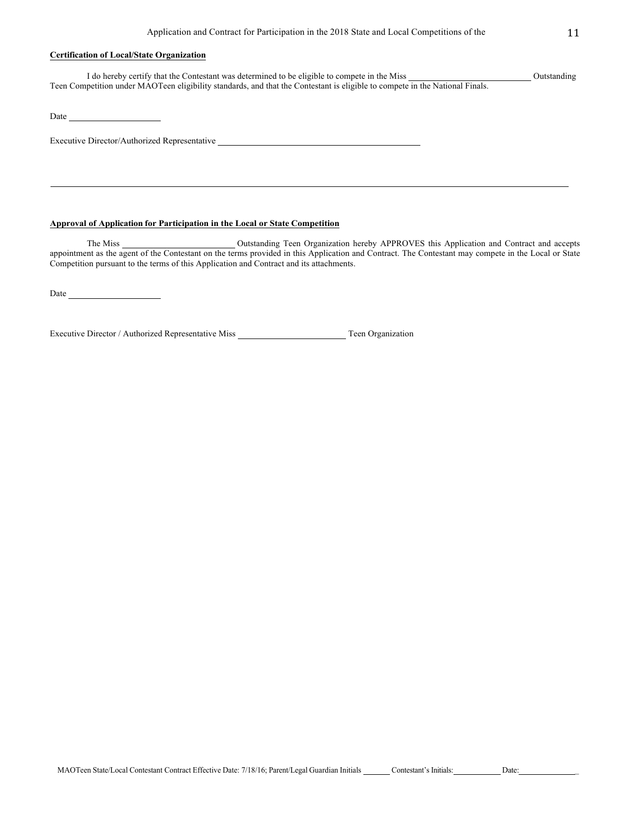## **Certification of Local/State Organization**

I do hereby certify that the Contestant was determined to be eligible to compete in the Miss Outstanding Teen Competition under MAOTeen eligibility standards, and that the Contestant is eligible to compete in the National Finals.

Date and the state of the state of the state of the state of the state of the state of the state of the state of the state of the state of the state of the state of the state of the state of the state of the state of the s

Executive Director/Authorized Representative

## **Approval of Application for Participation in the Local or State Competition**

The Miss Outstanding Teen Organization hereby APPROVES this Application and Contract and accepts appointment as the agent of the Contestant on the terms provided in this Application and Contract. The Contestant may compete in the Local or State Competition pursuant to the terms of this Application and Contract and its attachments.

Date

Executive Director / Authorized Representative Miss Teen Organization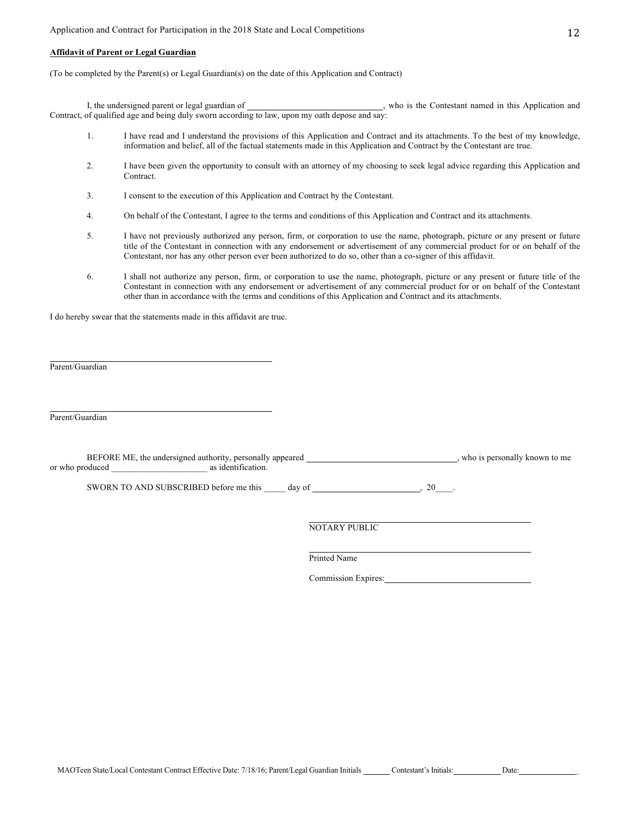### **Affidavit of Parent or Legal Guardian**

(To be completed by the Parent(s) or Legal Guardian(s) on the date of this Application and Contract)

I, the undersigned parent or legal guardian of \_\_\_\_\_\_\_\_\_\_\_\_\_\_\_\_\_\_\_\_\_\_\_\_\_\_\_\_\_\_, who is the Contestant named in this Application and Contract, of qualified age and being duly sworn according to law, upon my oath depose and say:

- 1. I have read and I understand the provisions of this Application and Contract and its attachments. To the best of my knowledge, information and belief, all of the factual statements made in this Application and Contract by the Contestant are true.
- 2. I have been given the opportunity to consult with an attorney of my choosing to seek legal advice regarding this Application and Contract.
- 3. I consent to the execution of this Application and Contract by the Contestant.
- 4. On behalf of the Contestant, I agree to the terms and conditions of this Application and Contract and its attachments.
- 5. I have not previously authorized any person, firm, or corporation to use the name, photograph, picture or any present or future title of the Contestant in connection with any endorsement or advertisement of any commercial product for or on behalf of the Contestant, nor has any other person ever been authorized to do so, other than a co-signer of this affidavit.
- 6. I shall not authorize any person, firm, or corporation to use the name, photograph, picture or any present or future title of the Contestant in connection with any endorsement or advertisement of any commercial product for or on behalf of the Contestant other than in accordance with the terms and conditions of this Application and Contract and its attachments.

I do hereby swear that the statements made in this affidavit are true.

Parent/Guardian

Parent/Guardian

BEFORE ME, the undersigned authority, personally appeared \_\_\_\_\_\_\_\_\_\_\_\_\_\_\_\_\_\_\_\_\_\_\_\_\_\_\_\_\_, who is personally known to me or who produced \_\_\_\_\_\_\_\_\_\_\_\_\_\_\_\_\_\_\_\_\_\_ as identification.

SWORN TO AND SUBSCRIBED before me this  $\_\_\_$  day of  $\_\_\_\_\_$ , 20 $\_\_\_\_\$ 

NOTARY PUBLIC

Printed Name

Commission Expires: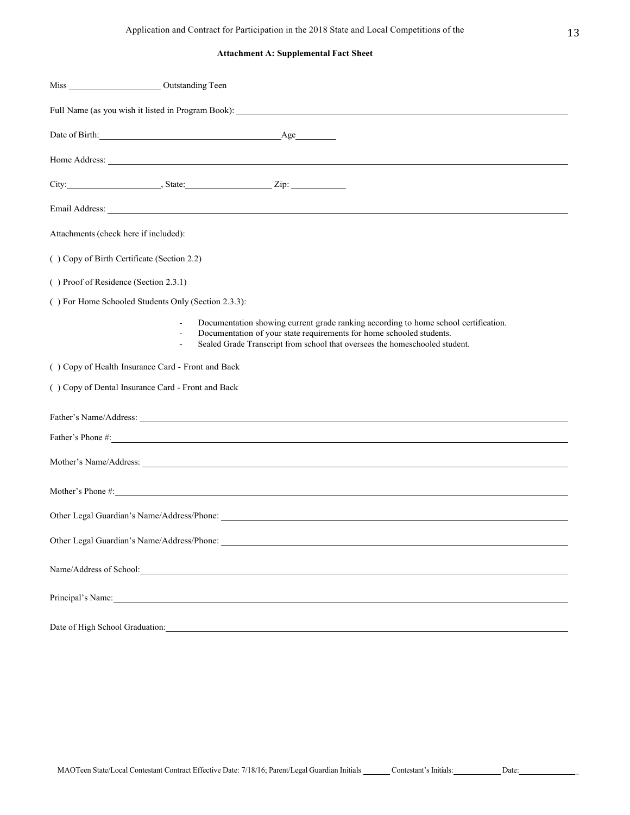# **Attachment A: Supplemental Fact Sheet**

| Miss Outstanding Teen                               |                                                                                                                                                                                                                                                             |  |  |  |
|-----------------------------------------------------|-------------------------------------------------------------------------------------------------------------------------------------------------------------------------------------------------------------------------------------------------------------|--|--|--|
| Full Name (as you wish it listed in Program Book):  |                                                                                                                                                                                                                                                             |  |  |  |
|                                                     | Date of Birth: <u>Age</u>                                                                                                                                                                                                                                   |  |  |  |
|                                                     | Home Address: <u>example and the set of the set of the set of the set of the set of the set of the set of the set of the set of the set of the set of the set of the set of the set of the set of the set of the set of the set </u>                        |  |  |  |
|                                                     | City: $\qquad \qquad \qquad \text{State:} \qquad \qquad \text{Zip:}$                                                                                                                                                                                        |  |  |  |
|                                                     | Email Address: No. 1996. The Committee of the Committee of the Committee of the Committee of the Committee of the Committee of the Committee of the Committee of the Committee of the Committee of the Committee of the Commit                              |  |  |  |
| Attachments (check here if included):               |                                                                                                                                                                                                                                                             |  |  |  |
| () Copy of Birth Certificate (Section 2.2)          |                                                                                                                                                                                                                                                             |  |  |  |
|                                                     | () Proof of Residence (Section 2.3.1)                                                                                                                                                                                                                       |  |  |  |
| () For Home Schooled Students Only (Section 2.3.3): |                                                                                                                                                                                                                                                             |  |  |  |
|                                                     | Documentation showing current grade ranking according to home school certification.<br>Documentation of your state requirements for home schooled students.<br>$\frac{1}{2}$<br>Sealed Grade Transcript from school that oversees the homeschooled student. |  |  |  |
| () Copy of Health Insurance Card - Front and Back   |                                                                                                                                                                                                                                                             |  |  |  |
| () Copy of Dental Insurance Card - Front and Back   |                                                                                                                                                                                                                                                             |  |  |  |
|                                                     | Father's Name/Address: Name/Address:                                                                                                                                                                                                                        |  |  |  |
|                                                     |                                                                                                                                                                                                                                                             |  |  |  |
|                                                     | Mother's Name/Address: Name/Address:                                                                                                                                                                                                                        |  |  |  |
|                                                     | Mother's Phone #:                                                                                                                                                                                                                                           |  |  |  |
|                                                     |                                                                                                                                                                                                                                                             |  |  |  |
| Other Legal Guardian's Name/Address/Phone:          |                                                                                                                                                                                                                                                             |  |  |  |
| Name/Address of School:                             |                                                                                                                                                                                                                                                             |  |  |  |
|                                                     | Principal's Name: 1988                                                                                                                                                                                                                                      |  |  |  |
| Date of High School Graduation:                     |                                                                                                                                                                                                                                                             |  |  |  |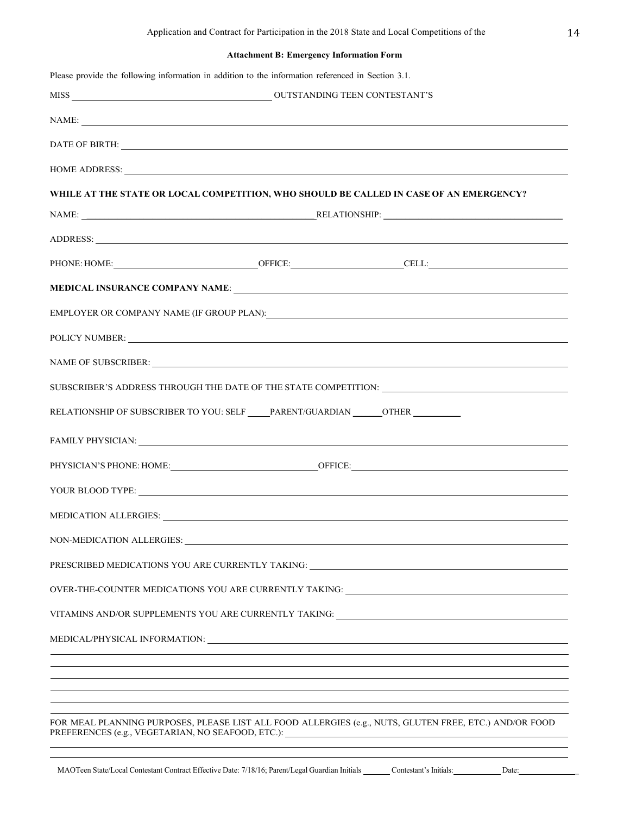# **Attachment B: Emergency Information Form**

|                                                                                    | NAME:                                                                                                                                                                                                                          |
|------------------------------------------------------------------------------------|--------------------------------------------------------------------------------------------------------------------------------------------------------------------------------------------------------------------------------|
|                                                                                    | DATE OF BIRTH: New York CONSERVATION CONTROL IN THE SERVICE OF BIRTH:                                                                                                                                                          |
|                                                                                    | HOME ADDRESS: Lawrence and the contract of the contract of the contract of the contract of the contract of the contract of the contract of the contract of the contract of the contract of the contract of the contract of the |
|                                                                                    | WHILE AT THE STATE OR LOCAL COMPETITION, WHO SHOULD BE CALLED IN CASE OF AN EMERGENCY?                                                                                                                                         |
|                                                                                    |                                                                                                                                                                                                                                |
|                                                                                    |                                                                                                                                                                                                                                |
|                                                                                    |                                                                                                                                                                                                                                |
|                                                                                    |                                                                                                                                                                                                                                |
|                                                                                    |                                                                                                                                                                                                                                |
|                                                                                    | POLICY NUMBER: NORTH POLICY NUMBER:                                                                                                                                                                                            |
|                                                                                    | NAME OF SUBSCRIBER: NAME OF SUBSCRIBER:                                                                                                                                                                                        |
|                                                                                    | SUBSCRIBER'S ADDRESS THROUGH THE DATE OF THE STATE COMPETITION: ___________________________________                                                                                                                            |
| RELATIONSHIP OF SUBSCRIBER TO YOU: SELF _____PARENT/GUARDIAN _______OTHER ________ |                                                                                                                                                                                                                                |
|                                                                                    | FAMILY PHYSICIAN: University of the Community of the Community of the Community of the Community of the Community of the Community of the Community of the Community of the Community of the Community of the Community of the |
|                                                                                    |                                                                                                                                                                                                                                |
|                                                                                    | YOUR BLOOD TYPE: New YOUR BLOOD TYPE:                                                                                                                                                                                          |
|                                                                                    |                                                                                                                                                                                                                                |
| NON-MEDICATION ALLERGIES:                                                          |                                                                                                                                                                                                                                |
|                                                                                    | PRESCRIBED MEDICATIONS YOU ARE CURRENTLY TAKING: ________________________________                                                                                                                                              |
|                                                                                    | OVER-THE-COUNTER MEDICATIONS YOU ARE CURRENTLY TAKING:                                                                                                                                                                         |
|                                                                                    | VITAMINS AND/OR SUPPLEMENTS YOU ARE CURRENTLY TAKING: ___________________________                                                                                                                                              |
|                                                                                    |                                                                                                                                                                                                                                |
|                                                                                    | <u> 1989 - Johann Stoff, amerikansk politiker (* 1908)</u>                                                                                                                                                                     |
|                                                                                    |                                                                                                                                                                                                                                |
|                                                                                    |                                                                                                                                                                                                                                |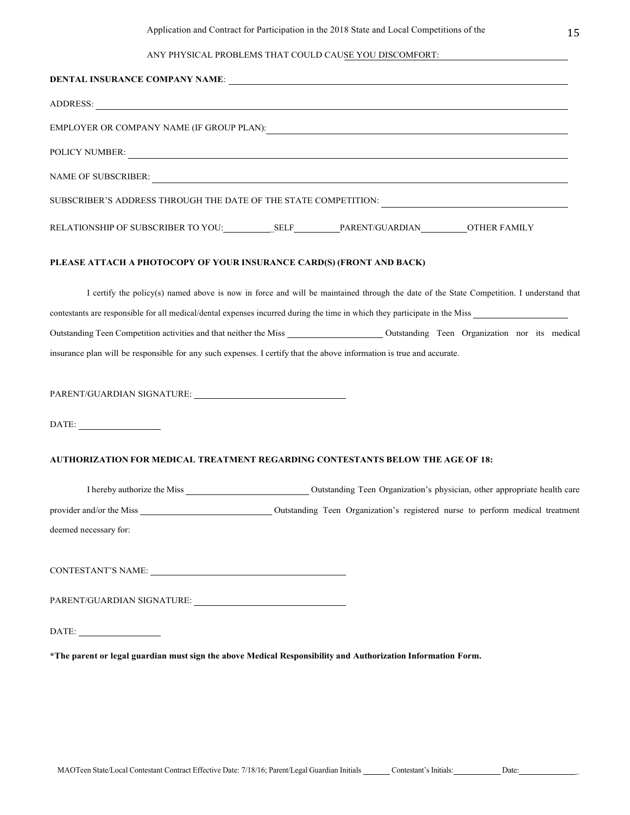# ANY PHYSICAL PROBLEMS THAT COULD CAUSE YOU DISCOMFORT:

|                                                                                                                                                                                                                                                                                                                                                                                             | DENTAL INSURANCE COMPANY NAME:                                                                                                                                                                                                                                                                                                                                                                |
|---------------------------------------------------------------------------------------------------------------------------------------------------------------------------------------------------------------------------------------------------------------------------------------------------------------------------------------------------------------------------------------------|-----------------------------------------------------------------------------------------------------------------------------------------------------------------------------------------------------------------------------------------------------------------------------------------------------------------------------------------------------------------------------------------------|
|                                                                                                                                                                                                                                                                                                                                                                                             |                                                                                                                                                                                                                                                                                                                                                                                               |
|                                                                                                                                                                                                                                                                                                                                                                                             |                                                                                                                                                                                                                                                                                                                                                                                               |
|                                                                                                                                                                                                                                                                                                                                                                                             | POLICY NUMBER: NEWSLETTERS AND RESIDENCE AND RESIDENCE AND RESIDENCE AND RESIDENCE AND RESIDENCE AND RESIDENCE AND RESIDENCE AND RESIDENCE AND RESIDENCE AND RESIDENCE AND RESIDENCE AND RESIDENCE AND RESIDENCE AND RESIDENCE                                                                                                                                                                |
|                                                                                                                                                                                                                                                                                                                                                                                             |                                                                                                                                                                                                                                                                                                                                                                                               |
|                                                                                                                                                                                                                                                                                                                                                                                             |                                                                                                                                                                                                                                                                                                                                                                                               |
|                                                                                                                                                                                                                                                                                                                                                                                             |                                                                                                                                                                                                                                                                                                                                                                                               |
| PLEASE ATTACH A PHOTOCOPY OF YOUR INSURANCE CARD(S) (FRONT AND BACK)                                                                                                                                                                                                                                                                                                                        |                                                                                                                                                                                                                                                                                                                                                                                               |
|                                                                                                                                                                                                                                                                                                                                                                                             | I certify the policy(s) named above is now in force and will be maintained through the date of the State Competition. I understand that<br>contestants are responsible for all medical/dental expenses incurred during the time in which they participate in the Miss<br>insurance plan will be responsible for any such expenses. I certify that the above information is true and accurate. |
|                                                                                                                                                                                                                                                                                                                                                                                             |                                                                                                                                                                                                                                                                                                                                                                                               |
| $\begin{picture}(150,10) \put(0,0){\dashbox{0.5}(10,0){ }} \put(15,0){\circle{10}} \put(15,0){\circle{10}} \put(15,0){\circle{10}} \put(15,0){\circle{10}} \put(15,0){\circle{10}} \put(15,0){\circle{10}} \put(15,0){\circle{10}} \put(15,0){\circle{10}} \put(15,0){\circle{10}} \put(15,0){\circle{10}} \put(15,0){\circle{10}} \put(15,0){\circle{10}} \put(15,0){\circle{10}} \put(15$ |                                                                                                                                                                                                                                                                                                                                                                                               |
|                                                                                                                                                                                                                                                                                                                                                                                             | AUTHORIZATION FOR MEDICAL TREATMENT REGARDING CONTESTANTS BELOW THE AGE OF 18:                                                                                                                                                                                                                                                                                                                |
|                                                                                                                                                                                                                                                                                                                                                                                             |                                                                                                                                                                                                                                                                                                                                                                                               |
|                                                                                                                                                                                                                                                                                                                                                                                             |                                                                                                                                                                                                                                                                                                                                                                                               |
| deemed necessary for:                                                                                                                                                                                                                                                                                                                                                                       |                                                                                                                                                                                                                                                                                                                                                                                               |
|                                                                                                                                                                                                                                                                                                                                                                                             |                                                                                                                                                                                                                                                                                                                                                                                               |
| PARENT/GUARDIAN SIGNATURE: University of the contract of the contract of the contract of the contract of the contract of the contract of the contract of the contract of the contract of the contract of the contract of the c                                                                                                                                                              |                                                                                                                                                                                                                                                                                                                                                                                               |
| $\begin{picture}(150,10) \put(0,0){\dashbox{0.5}(10,0){ }} \put(15,0){\circle{10}} \put(15,0){\circle{10}} \put(15,0){\circle{10}} \put(15,0){\circle{10}} \put(15,0){\circle{10}} \put(15,0){\circle{10}} \put(15,0){\circle{10}} \put(15,0){\circle{10}} \put(15,0){\circle{10}} \put(15,0){\circle{10}} \put(15,0){\circle{10}} \put(15,0){\circle{10}} \put(15,0){\circle{10}} \put(15$ |                                                                                                                                                                                                                                                                                                                                                                                               |
|                                                                                                                                                                                                                                                                                                                                                                                             | *The parent or legal guardian must sign the above Medical Responsibility and Authorization Information Form.                                                                                                                                                                                                                                                                                  |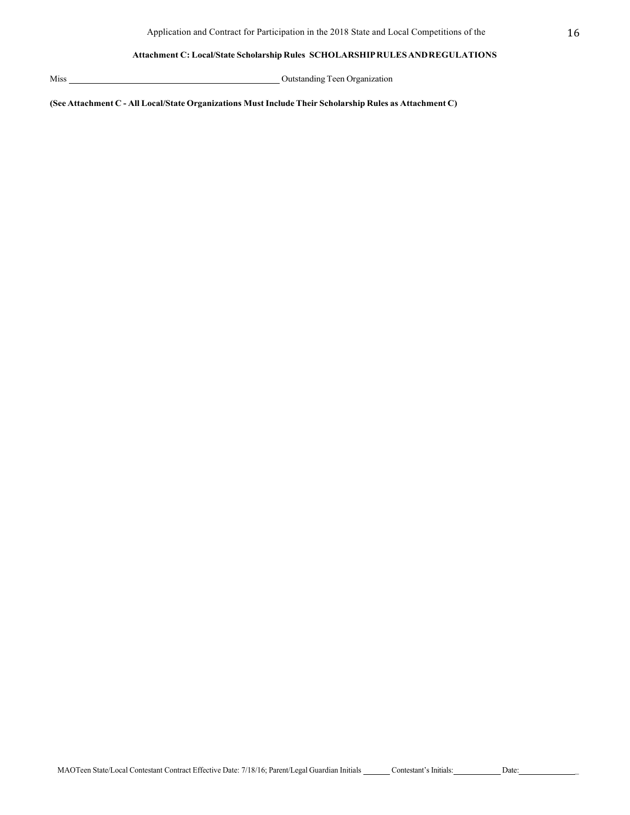## **Attachment C: Local/State Scholarship Rules SCHOLARSHIPRULESANDREGULATIONS**

Miss Outstanding Teen Organization

**(See Attachment C - All Local/State Organizations MustIncludeTheir Scholarship Rules as Attachment C)**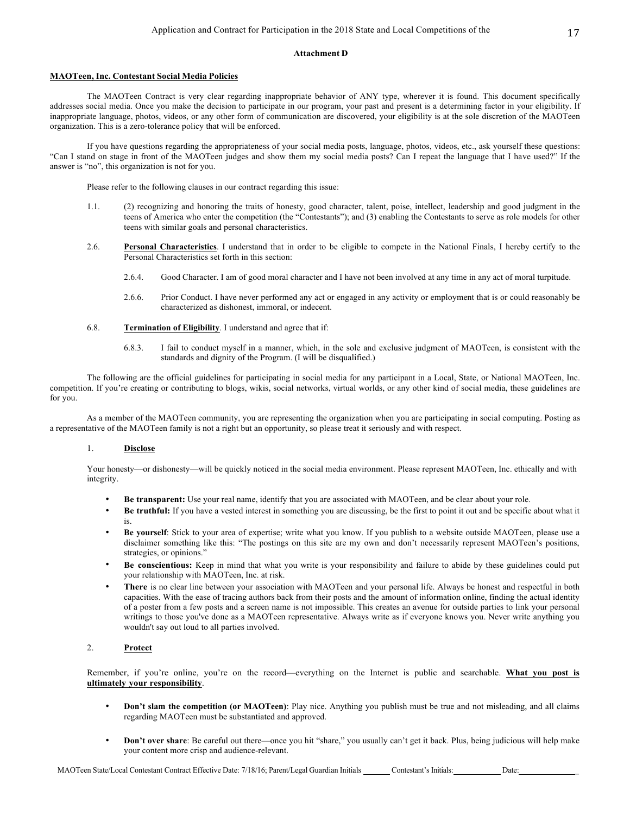### **Attachment D**

### **MAOTeen, Inc. Contestant Social Media Policies**

The MAOTeen Contract is very clear regarding inappropriate behavior of ANY type, wherever it is found. This document specifically addresses social media. Once you make the decision to participate in our program, your past and present is a determining factor in your eligibility. If inappropriate language, photos, videos, or any other form of communication are discovered, your eligibility is at the sole discretion of the MAOTeen organization. This is a zero-tolerance policy that will be enforced.

If you have questions regarding the appropriateness of your social media posts, language, photos, videos, etc., ask yourself these questions: "Can I stand on stage in front of the MAOTeen judges and show them my social media posts? Can I repeat the language that I have used?" If the answer is "no", this organization is not for you.

Please refer to the following clauses in our contract regarding this issue:

- 1.1. (2) recognizing and honoring the traits of honesty, good character, talent, poise, intellect, leadership and good judgment in the teens of America who enter the competition (the "Contestants"); and (3) enabling the Contestants to serve as role models for other teens with similar goals and personal characteristics.
- 2.6. **Personal Characteristics**. I understand that in order to be eligible to compete in the National Finals, I hereby certify to the Personal Characteristics set forth in this section:
	- 2.6.4. Good Character. I am of good moral character and I have not been involved at any time in any act of moral turpitude.
	- 2.6.6. Prior Conduct. I have never performed any act or engaged in any activity or employment that is or could reasonably be characterized as dishonest, immoral, or indecent.
- 6.8. **Termination of Eligibility**. I understand and agree that if:
	- 6.8.3. I fail to conduct myself in a manner, which, in the sole and exclusive judgment of MAOTeen, is consistent with the standards and dignity of the Program. (I will be disqualified.)

The following are the official guidelines for participating in social media for any participant in a Local, State, or National MAOTeen, Inc. competition. If you're creating or contributing to blogs, wikis, social networks, virtual worlds, or any other kind of social media, these guidelines are for you.

As a member of the MAOTeen community, you are representing the organization when you are participating in social computing. Posting as a representative of the MAOTeen family is not a right but an opportunity, so please treat it seriously and with respect.

### 1. **Disclose**

Your honesty—or dishonesty—will be quickly noticed in the social media environment. Please represent MAOTeen, Inc. ethically and with integrity.

- **Be transparent:** Use your real name, identify that you are associated with MAOTeen, and be clear about your role.
- **Be truthful:** If you have a vested interest in something you are discussing, be the first to point it out and be specific about what it is.
- **Be yourself**: Stick to your area of expertise; write what you know. If you publish to a website outside MAOTeen, please use a disclaimer something like this: "The postings on this site are my own and don't necessarily represent MAOTeen's positions, strategies, or opinions."
- **Be conscientious:** Keep in mind that what you write is your responsibility and failure to abide by these guidelines could put your relationship with MAOTeen, Inc. at risk.
- **There** is no clear line between your association with MAOTeen and your personal life. Always be honest and respectful in both capacities. With the ease of tracing authors back from their posts and the amount of information online, finding the actual identity of a poster from a few posts and a screen name is not impossible. This creates an avenue for outside parties to link your personal writings to those you've done as a MAOTeen representative. Always write as if everyone knows you. Never write anything you wouldn't say out loud to all parties involved.

## 2. **Protect**

Remember, if you're online, you're on the record—everything on the Internet is public and searchable. **What you post is ultimately your responsibility**.

- **Don't slam the competition (or MAOTeen)**: Play nice. Anything you publish must be true and not misleading, and all claims regarding MAOTeen must be substantiated and approved.
- **Don't over share**: Be careful out there—once you hit "share," you usually can't get it back. Plus, being judicious will help make your content more crisp and audience-relevant.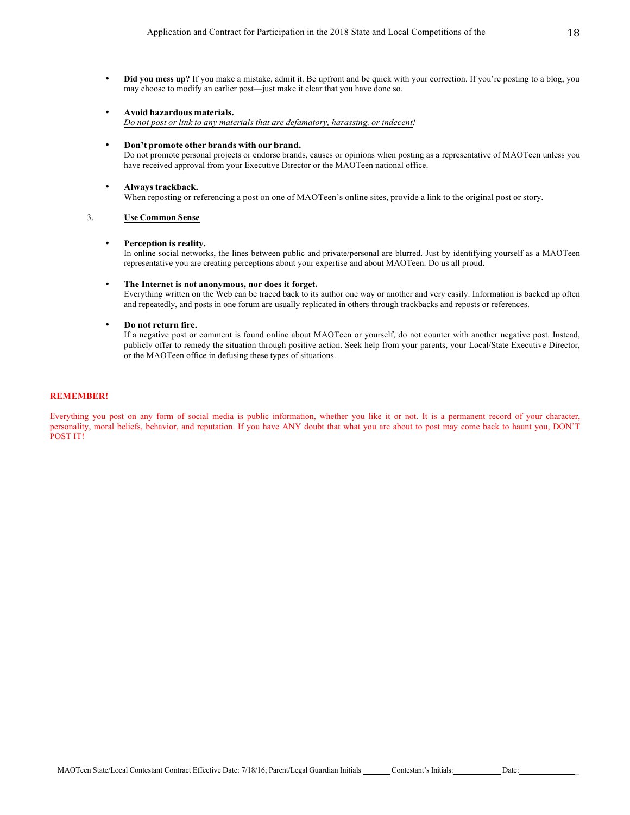- **Did you mess up?** If you make a mistake, admit it. Be upfront and be quick with your correction. If you're posting to a blog, you may choose to modify an earlier post—just make it clear that you have done so.
- **Avoid hazardous materials.** *Do not post or link to any materials that are defamatory, harassing, or indecent!*
- **Don't promote other brands with our brand.**

Do not promote personal projects or endorse brands, causes or opinions when posting as a representative of MAOTeen unless you have received approval from your Executive Director or the MAOTeen national office.

• **Always trackback.** When reposting or referencing a post on one of MAOTeen's online sites, provide a link to the original post or story.

### 3. **Use Common Sense**

### • **Perception is reality.**

In online social networks, the lines between public and private/personal are blurred. Just by identifying yourself as a MAOTeen representative you are creating perceptions about your expertise and about MAOTeen. Do us all proud.

### • **The Internet is not anonymous, nor does it forget.**

Everything written on the Web can be traced back to its author one way or another and very easily. Information is backed up often and repeatedly, and posts in one forum are usually replicated in others through trackbacks and reposts or references.

### • **Do not return fire.**

If a negative post or comment is found online about MAOTeen or yourself, do not counter with another negative post. Instead, publicly offer to remedy the situation through positive action. Seek help from your parents, your Local/State Executive Director, or the MAOTeen office in defusing these types of situations.

### **REMEMBER!**

Everything you post on any form of social media is public information, whether you like it or not. It is a permanent record of your character, personality, moral beliefs, behavior, and reputation. If you have ANY doubt that what you are about to post may come back to haunt you, DON'T POST IT!